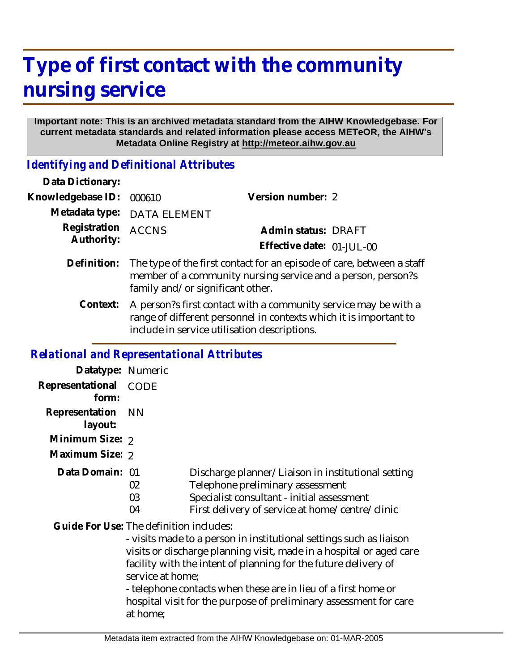## **Type of first contact with the community nursing service**

## **Important note: This is an archived metadata standard from the AIHW Knowledgebase. For current metadata standards and related information please access METeOR, the AIHW's Metadata Online Registry at http://meteor.aihw.gov.au**

## *Identifying and Definitional Attributes*

| Data Dictionary:           |                                                                                                                                                                                      |                           |  |
|----------------------------|--------------------------------------------------------------------------------------------------------------------------------------------------------------------------------------|---------------------------|--|
| Knowledgebase ID:          | 000610                                                                                                                                                                               | Version number: 2         |  |
| Metadata type:             | <b>DATA ELEMENT</b>                                                                                                                                                                  |                           |  |
| Registration<br>Authority: | <b>ACCNS</b>                                                                                                                                                                         | Admin status: DRAFT       |  |
|                            |                                                                                                                                                                                      | Effective date: 01-JUL-00 |  |
| Definition:                | The type of the first contact for an episode of care, between a staff<br>member of a community nursing service and a person, person?s<br>family and/or significant other.            |                           |  |
| Context:                   | A person?s first contact with a community service may be with a<br>range of different personnel in contexts which it is important to<br>include in service utilisation descriptions. |                           |  |

## *Relational and Representational Attributes*

| Datatype: Numeric                       |                              |                                                                                                                                                                                                                                                                                                                                                      |
|-----------------------------------------|------------------------------|------------------------------------------------------------------------------------------------------------------------------------------------------------------------------------------------------------------------------------------------------------------------------------------------------------------------------------------------------|
| Representational<br>form:               | <b>CODE</b>                  |                                                                                                                                                                                                                                                                                                                                                      |
| Representation<br>layout:               | - NN                         |                                                                                                                                                                                                                                                                                                                                                      |
| Minimum Size: 2                         |                              |                                                                                                                                                                                                                                                                                                                                                      |
| Maximum Size: 2                         |                              |                                                                                                                                                                                                                                                                                                                                                      |
| Data Domain: 01                         | 02<br>03<br>04               | Discharge planner/Liaison in institutional setting<br>Telephone preliminary assessment<br>Specialist consultant - initial assessment<br>First delivery of service at home/centre/clinic                                                                                                                                                              |
| Guide For Use: The definition includes: | service at home;<br>at home; | - visits made to a person in institutional settings such as liaison<br>visits or discharge planning visit, made in a hospital or aged care<br>facility with the intent of planning for the future delivery of<br>- telephone contacts when these are in lieu of a first home or<br>hospital visit for the purpose of preliminary assessment for care |